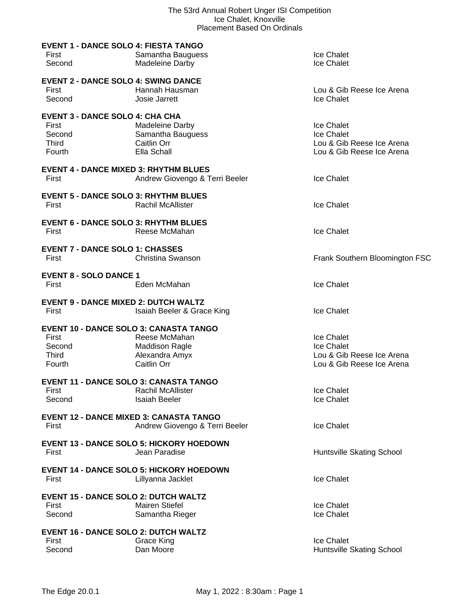| <b>EVENT 1 - DANCE SOLO 4: FIESTA TANGO</b><br>First<br>Second                      | Samantha Bauguess<br>Madeleine Darby                                             | Ice Chalet<br><b>Ice Chalet</b>                                                    |
|-------------------------------------------------------------------------------------|----------------------------------------------------------------------------------|------------------------------------------------------------------------------------|
| <b>EVENT 2 - DANCE SOLO 4: SWING DANCE</b><br>First<br>Second                       | Hannah Hausman<br>Josie Jarrett                                                  | Lou & Gib Reese Ice Arena<br>Ice Chalet                                            |
| <b>EVENT 3 - DANCE SOLO 4: CHA CHA</b><br>First<br>Second<br><b>Third</b><br>Fourth | Madeleine Darby<br>Samantha Bauguess<br>Caitlin Orr<br>Ella Schall               | Ice Chalet<br>Ice Chalet<br>Lou & Gib Reese Ice Arena<br>Lou & Gib Reese Ice Arena |
| <b>EVENT 4 - DANCE MIXED 3: RHYTHM BLUES</b><br>First                               | Andrew Giovengo & Terri Beeler                                                   | Ice Chalet                                                                         |
| <b>EVENT 5 - DANCE SOLO 3: RHYTHM BLUES</b><br>First                                | <b>Rachil McAllister</b>                                                         | <b>Ice Chalet</b>                                                                  |
| <b>EVENT 6 - DANCE SOLO 3: RHYTHM BLUES</b><br>First                                | Reese McMahan                                                                    | <b>Ice Chalet</b>                                                                  |
| <b>EVENT 7 - DANCE SOLO 1: CHASSES</b><br>First                                     | Christina Swanson                                                                | Frank Southern Bloomington FSC                                                     |
| <b>EVENT 8 - SOLO DANCE 1</b><br>First                                              | Eden McMahan                                                                     | <b>Ice Chalet</b>                                                                  |
| <b>EVENT 9 - DANCE MIXED 2: DUTCH WALTZ</b><br>First                                | Isaiah Beeler & Grace King                                                       | Ice Chalet                                                                         |
| <b>EVENT 10 - DANCE SOLO 3: CANASTA TANGO</b><br>First<br>Second<br>Third<br>Fourth | Reese McMahan<br><b>Maddison Ragle</b><br>Alexandra Amyx<br>Caitlin Orr          | Ice Chalet<br>Ice Chalet<br>Lou & Gib Reese Ice Arena<br>Lou & Gib Reese Ice Arena |
| <b>EVENT 11 - DANCE SOLO 3: CANASTA TANGO</b><br>First<br>Second                    | <b>Rachil McAllister</b><br><b>Isaiah Beeler</b>                                 | Ice Chalet<br>Ice Chalet                                                           |
| First                                                                               | <b>EVENT 12 - DANCE MIXED 3: CANASTA TANGO</b><br>Andrew Giovengo & Terri Beeler | Ice Chalet                                                                         |
| First                                                                               | <b>EVENT 13 - DANCE SOLO 5: HICKORY HOEDOWN</b><br>Jean Paradise                 | Huntsville Skating School                                                          |
| First                                                                               | <b>EVENT 14 - DANCE SOLO 5: HICKORY HOEDOWN</b><br>Lillyanna Jacklet             | <b>Ice Chalet</b>                                                                  |
| <b>EVENT 15 - DANCE SOLO 2: DUTCH WALTZ</b><br>First<br>Second                      | <b>Mairen Stiefel</b><br>Samantha Rieger                                         | Ice Chalet<br>Ice Chalet                                                           |
| <b>EVENT 16 - DANCE SOLO 2: DUTCH WALTZ</b><br>First<br>Second                      | <b>Grace King</b><br>Dan Moore                                                   | Ice Chalet<br>Huntsville Skating School                                            |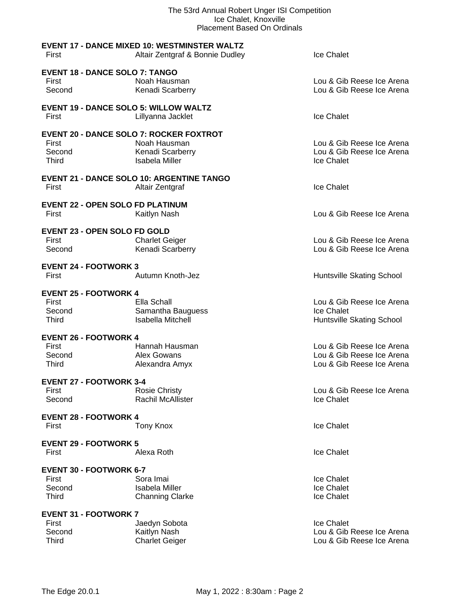| The 53rd Annual Robert Unger ISI Competition<br>Ice Chalet, Knoxville<br><b>Placement Based On Ordinals</b> |                                                     |                           |
|-------------------------------------------------------------------------------------------------------------|-----------------------------------------------------|---------------------------|
|                                                                                                             | <b>EVENT 17 - DANCE MIXED 10: WESTMINSTER WALTZ</b> |                           |
| First                                                                                                       | Altair Zentgraf & Bonnie Dudley                     | <b>Ice Chalet</b>         |
| <b>EVENT 18 - DANCE SOLO 7: TANGO</b>                                                                       |                                                     |                           |
| First                                                                                                       | Noah Hausman                                        | Lou & Gib Reese Ice Arena |
| Second                                                                                                      | Kenadi Scarberry                                    | Lou & Gib Reese Ice Arena |
| <b>EVENT 19 - DANCE SOLO 5: WILLOW WALTZ</b>                                                                |                                                     |                           |
| First                                                                                                       | Lillyanna Jacklet                                   | Ice Chalet                |
| <b>EVENT 20 - DANCE SOLO 7: ROCKER FOXTROT</b>                                                              |                                                     |                           |
| First                                                                                                       | Noah Hausman                                        | Lou & Gib Reese Ice Arena |
| Second                                                                                                      | Kenadi Scarberry                                    | Lou & Gib Reese Ice Arena |
| <b>Third</b>                                                                                                | <b>Isabela Miller</b>                               | Ice Chalet                |
|                                                                                                             | <b>EVENT 21 - DANCE SOLO 10: ARGENTINE TANGO</b>    |                           |
| First                                                                                                       | Altair Zentgraf                                     | Ice Chalet                |
| <b>EVENT 22 - OPEN SOLO FD PLATINUM</b>                                                                     |                                                     |                           |
| First                                                                                                       | Kaitlyn Nash                                        | Lou & Gib Reese Ice Arena |
|                                                                                                             |                                                     |                           |
| <b>EVENT 23 - OPEN SOLO FD GOLD</b>                                                                         |                                                     |                           |
| First                                                                                                       | <b>Charlet Geiger</b>                               | Lou & Gib Reese Ice Arena |
| Second                                                                                                      | Kenadi Scarberry                                    | Lou & Gib Reese Ice Arena |
| <b>EVENT 24 - FOOTWORK 3</b>                                                                                |                                                     |                           |
| First                                                                                                       | Autumn Knoth-Jez                                    | Huntsville Skating School |
| <b>EVENT 25 - FOOTWORK 4</b>                                                                                |                                                     |                           |
| First                                                                                                       | Ella Schall                                         | Lou & Gib Reese Ice Arena |
| Second                                                                                                      | Samantha Bauguess                                   | <b>Ice Chalet</b>         |
| <b>Third</b>                                                                                                | <b>Isabella Mitchell</b>                            | Huntsville Skating School |
| <b>EVENT 26 - FOOTWORK 4</b>                                                                                |                                                     |                           |
| First                                                                                                       | Hannah Hausman                                      | Lou & Gib Reese Ice Arena |
| Second                                                                                                      | Alex Gowans                                         | Lou & Gib Reese Ice Arena |
| <b>Third</b>                                                                                                | Alexandra Amyx                                      | Lou & Gib Reese Ice Arena |
| <b>EVENT 27 - FOOTWORK 3-4</b>                                                                              |                                                     |                           |
| First                                                                                                       | <b>Rosie Christy</b>                                | Lou & Gib Reese Ice Arena |
| Second                                                                                                      | Rachil McAllister                                   | Ice Chalet                |
| <b>EVENT 28 - FOOTWORK 4</b>                                                                                |                                                     |                           |
| First                                                                                                       | <b>Tony Knox</b>                                    | Ice Chalet                |
| <b>EVENT 29 - FOOTWORK 5</b>                                                                                |                                                     |                           |
| First                                                                                                       | Alexa Roth                                          | Ice Chalet                |
|                                                                                                             |                                                     |                           |
| <b>EVENT 30 - FOOTWORK 6-7</b>                                                                              |                                                     |                           |
| First                                                                                                       | Sora Imai                                           | Ice Chalet                |
| Second                                                                                                      | <b>Isabela Miller</b>                               | Ice Chalet                |
| <b>Third</b>                                                                                                | <b>Channing Clarke</b>                              | Ice Chalet                |
| <b>EVENT 31 - FOOTWORK 7</b>                                                                                |                                                     |                           |
| First                                                                                                       | Jaedyn Sobota                                       | Ice Chalet                |
| Second                                                                                                      | Kaitlyn Nash                                        | Lou & Gib Reese Ice Arena |
| <b>Third</b>                                                                                                | <b>Charlet Geiger</b>                               | Lou & Gib Reese Ice Arena |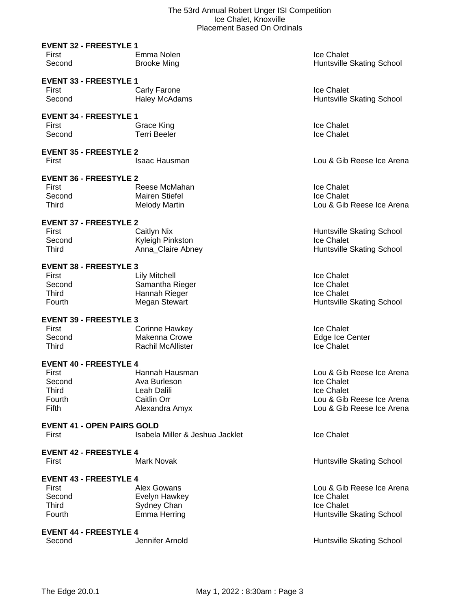|                                                                                     | Piacement Dased On Orginals                                                      |                                                                                                                        |
|-------------------------------------------------------------------------------------|----------------------------------------------------------------------------------|------------------------------------------------------------------------------------------------------------------------|
| <b>EVENT 32 - FREESTYLE 1</b><br>First<br>Second                                    | Emma Nolen<br><b>Brooke Ming</b>                                                 | Ice Chalet<br>Huntsville Skating School                                                                                |
| <b>EVENT 33 - FREESTYLE 1</b><br>First<br>Second                                    | Carly Farone<br><b>Haley McAdams</b>                                             | <b>Ice Chalet</b><br>Huntsville Skating School                                                                         |
| <b>EVENT 34 - FREESTYLE 1</b><br>First<br>Second                                    | Grace King<br><b>Terri Beeler</b>                                                | <b>Ice Chalet</b><br>Ice Chalet                                                                                        |
| <b>EVENT 35 - FREESTYLE 2</b><br>First                                              | <b>Isaac Hausman</b>                                                             | Lou & Gib Reese Ice Arena                                                                                              |
| <b>EVENT 36 - FREESTYLE 2</b><br>First<br>Second<br><b>Third</b>                    | Reese McMahan<br><b>Mairen Stiefel</b><br><b>Melody Martin</b>                   | Ice Chalet<br>Ice Chalet<br>Lou & Gib Reese Ice Arena                                                                  |
| <b>EVENT 37 - FREESTYLE 2</b><br>First<br>Second<br>Third                           | <b>Caitlyn Nix</b><br>Kyleigh Pinkston<br>Anna Claire Abney                      | Huntsville Skating School<br>Ice Chalet<br>Huntsville Skating School                                                   |
| <b>EVENT 38 - FREESTYLE 3</b><br>First<br>Second<br><b>Third</b><br><b>Fourth</b>   | <b>Lily Mitchell</b><br>Samantha Rieger<br>Hannah Rieger<br><b>Megan Stewart</b> | <b>Ice Chalet</b><br><b>Ice Chalet</b><br>Ice Chalet<br>Huntsville Skating School                                      |
| <b>EVENT 39 - FREESTYLE 3</b><br>First<br>Second<br>Third                           | Corinne Hawkey<br>Makenna Crowe<br><b>Rachil McAllister</b>                      | Ice Chalet<br>Edge Ice Center<br>Ice Chalet                                                                            |
| <b>EVENT 40 - FREESTYLE 4</b><br>First<br>Second<br><b>Third</b><br>Fourth<br>Fifth | Hannah Hausman<br>Ava Burleson<br>Leah Dalili<br>Caitlin Orr<br>Alexandra Amyx   | Lou & Gib Reese Ice Arena<br>Ice Chalet<br><b>Ice Chalet</b><br>Lou & Gib Reese Ice Arena<br>Lou & Gib Reese Ice Arena |
| <b>EVENT 41 - OPEN PAIRS GOLD</b><br>First                                          | Isabela Miller & Jeshua Jacklet                                                  | Ice Chalet                                                                                                             |
| <b>EVENT 42 - FREESTYLE 4</b><br>First                                              | <b>Mark Novak</b>                                                                | Huntsville Skating School                                                                                              |
| <b>EVENT 43 - FREESTYLE 4</b><br>First                                              | Alex Gowans                                                                      | Lou & Gib Reese Ice Arena                                                                                              |

First Alex Gowans Lou & Gib Reese Ice Arena<br>
Second Evelyn Hawkey Second Lou & Gib Reese Ice Arena<br>
Localistic Chalet Second Evelyn Hawkey **Ice Chalet** Chalet Third Chalet Sydney Chan<br>
Third Chalet Chalet Chan Third Sydney Chan<br>
Fourth Emma Herring Huntsville Skating School

Jennifer Arnold **Array Election Conducts** Huntsville Skating School

**EVENT 44 - FREESTYLE 4**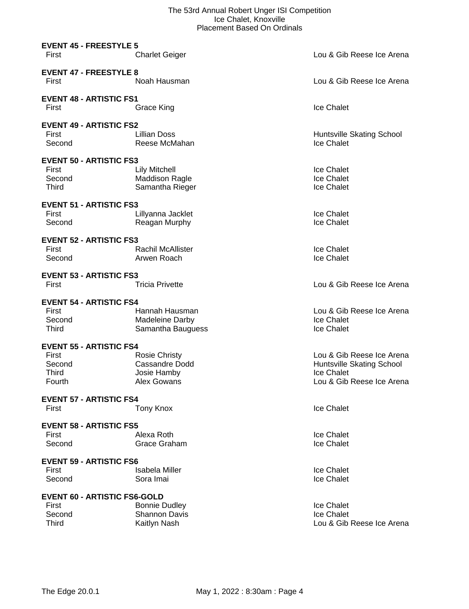|                                                                                                        | PIACEMENT DASEG ON ORIGIN                                                          |                                                                                                   |
|--------------------------------------------------------------------------------------------------------|------------------------------------------------------------------------------------|---------------------------------------------------------------------------------------------------|
| <b>EVENT 45 - FREESTYLE 5</b><br>First                                                                 | <b>Charlet Geiger</b>                                                              | Lou & Gib Reese Ice Arena                                                                         |
| <b>EVENT 47 - FREESTYLE 8</b><br>First                                                                 | Noah Hausman                                                                       | Lou & Gib Reese Ice Arena                                                                         |
| <b>EVENT 48 - ARTISTIC FS1</b><br>First                                                                | Grace King                                                                         | Ice Chalet                                                                                        |
| <b>EVENT 49 - ARTISTIC FS2</b><br>First<br>Second                                                      | <b>Lillian Doss</b><br>Reese McMahan                                               | Huntsville Skating School<br>Ice Chalet                                                           |
| <b>EVENT 50 - ARTISTIC FS3</b><br>First<br>Second<br>Third                                             | <b>Lily Mitchell</b><br><b>Maddison Ragle</b><br>Samantha Rieger                   | Ice Chalet<br>Ice Chalet<br>Ice Chalet                                                            |
| <b>EVENT 51 - ARTISTIC FS3</b><br>First<br>Second                                                      | Lillyanna Jacklet<br>Reagan Murphy                                                 | Ice Chalet<br>Ice Chalet                                                                          |
| <b>EVENT 52 - ARTISTIC FS3</b><br>First<br>Second                                                      | <b>Rachil McAllister</b><br>Arwen Roach                                            | Ice Chalet<br>Ice Chalet                                                                          |
| <b>EVENT 53 - ARTISTIC FS3</b><br>First                                                                | <b>Tricia Privette</b>                                                             | Lou & Gib Reese Ice Arena                                                                         |
| <b>EVENT 54 - ARTISTIC FS4</b><br>First<br>Second<br>Third                                             | Hannah Hausman<br>Madeleine Darby<br>Samantha Bauguess                             | Lou & Gib Reese Ice Arena<br>Ice Chalet<br>Ice Chalet                                             |
| <b>EVENT 55 - ARTISTIC FS4</b><br>First<br>Second<br>Third<br>Fourth<br><b>EVENT 57 - ARTISTIC FS4</b> | <b>Rosie Christy</b><br><b>Cassandre Dodd</b><br>Josie Hamby<br><b>Alex Gowans</b> | Lou & Gib Reese Ice Arena<br>Huntsville Skating School<br>Ice Chalet<br>Lou & Gib Reese Ice Arena |
| First                                                                                                  | Tony Knox                                                                          | Ice Chalet                                                                                        |
| <b>EVENT 58 - ARTISTIC FS5</b><br>First<br>Second                                                      | Alexa Roth<br>Grace Graham                                                         | Ice Chalet<br>Ice Chalet                                                                          |
| <b>EVENT 59 - ARTISTIC FS6</b><br>First<br>Second                                                      | <b>Isabela Miller</b><br>Sora Imai                                                 | Ice Chalet<br>Ice Chalet                                                                          |
| <b>EVENT 60 - ARTISTIC FS6-GOLD</b><br>First<br>Second<br><b>Third</b>                                 | <b>Bonnie Dudley</b><br><b>Shannon Davis</b><br>Kaitlyn Nash                       | Ice Chalet<br>Ice Chalet<br>Lou & Gib Reese Ice Arena                                             |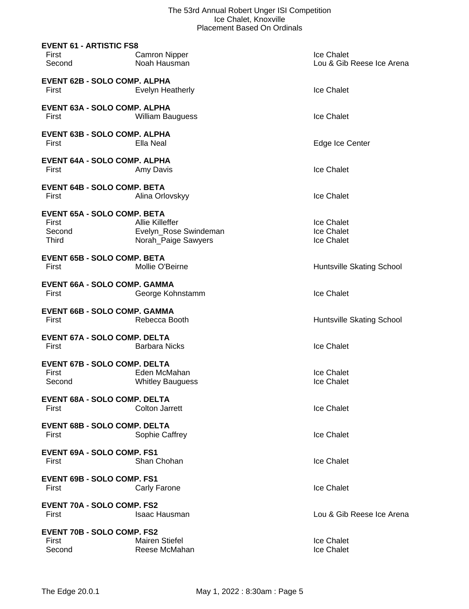| <b>EVENT 61 - ARTISTIC FS8</b><br>First<br>Second                     | <b>Camron Nipper</b><br>Noah Hausman                                   | Ice Chalet<br>Lou & Gib Reese Ice Arena |
|-----------------------------------------------------------------------|------------------------------------------------------------------------|-----------------------------------------|
| <b>EVENT 62B - SOLO COMP. ALPHA</b><br>First                          | Evelyn Heatherly                                                       | Ice Chalet                              |
| EVENT 63A - SOLO COMP. ALPHA<br>First                                 | <b>William Bauguess</b>                                                | Ice Chalet                              |
| <b>EVENT 63B - SOLO COMP. ALPHA</b><br>First                          | Ella Neal                                                              | Edge Ice Center                         |
| <b>EVENT 64A - SOLO COMP. ALPHA</b><br>First                          | Amy Davis                                                              | Ice Chalet                              |
| <b>EVENT 64B - SOLO COMP. BETA</b><br>First                           | Alina Orlovskyy                                                        | Ice Chalet                              |
| <b>EVENT 65A - SOLO COMP. BETA</b><br>First<br>Second<br><b>Third</b> | <b>Allie Killeffer</b><br>Evelyn_Rose Swindeman<br>Norah_Paige Sawyers | Ice Chalet<br>Ice Chalet<br>Ice Chalet  |
| <b>EVENT 65B - SOLO COMP. BETA</b><br>First                           | Mollie O'Beirne                                                        | Huntsville Skating School               |
| <b>EVENT 66A - SOLO COMP. GAMMA</b><br>First                          | George Kohnstamm                                                       | Ice Chalet                              |
| <b>EVENT 66B - SOLO COMP. GAMMA</b><br>First                          | Rebecca Booth                                                          | Huntsville Skating School               |
| <b>EVENT 67A - SOLO COMP. DELTA</b><br>First                          | <b>Barbara Nicks</b>                                                   | Ice Chalet                              |
| <b>EVENT 67B - SOLO COMP. DELTA</b><br>First<br>Second                | Eden McMahan<br><b>Whitley Bauguess</b>                                | Ice Chalet<br>Ice Chalet                |
| <b>EVENT 68A - SOLO COMP. DELTA</b><br>First                          | <b>Colton Jarrett</b>                                                  | Ice Chalet                              |
| <b>EVENT 68B - SOLO COMP. DELTA</b><br>First                          | Sophie Caffrey                                                         | Ice Chalet                              |
| <b>EVENT 69A - SOLO COMP. FS1</b><br>First                            | Shan Chohan                                                            | Ice Chalet                              |
| <b>EVENT 69B - SOLO COMP. FS1</b><br>First                            | Carly Farone                                                           | Ice Chalet                              |
| <b>EVENT 70A - SOLO COMP. FS2</b><br>First                            | <b>Isaac Hausman</b>                                                   | Lou & Gib Reese Ice Arena               |
| <b>EVENT 70B - SOLO COMP. FS2</b><br>First<br>Second                  | <b>Mairen Stiefel</b><br>Reese McMahan                                 | Ice Chalet<br>Ice Chalet                |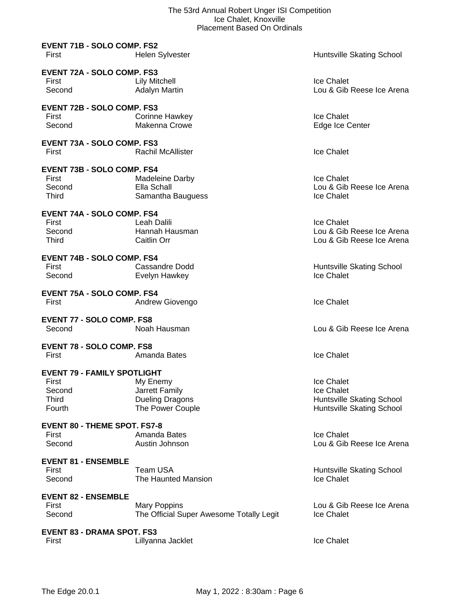| <b>EVENT 71B - SOLO COMP. FS2</b><br>First                                             | <b>Helen Sylvester</b>                                                   | Huntsville Skating School                                                          |
|----------------------------------------------------------------------------------------|--------------------------------------------------------------------------|------------------------------------------------------------------------------------|
| <b>EVENT 72A - SOLO COMP. FS3</b><br>First<br>Second                                   | <b>Lily Mitchell</b><br><b>Adalyn Martin</b>                             | Ice Chalet<br>Lou & Gib Reese Ice Arena                                            |
| <b>EVENT 72B - SOLO COMP. FS3</b><br>First<br>Second                                   | Corinne Hawkey<br>Makenna Crowe                                          | Ice Chalet<br>Edge Ice Center                                                      |
| <b>EVENT 73A - SOLO COMP. FS3</b><br>First                                             | <b>Rachil McAllister</b>                                                 | Ice Chalet                                                                         |
| <b>EVENT 73B - SOLO COMP. FS4</b><br>First<br>Second<br><b>Third</b>                   | <b>Madeleine Darby</b><br>Ella Schall<br>Samantha Bauguess               | Ice Chalet<br>Lou & Gib Reese Ice Arena<br>Ice Chalet                              |
| <b>EVENT 74A - SOLO COMP. FS4</b><br>First<br>Second<br>Third                          | Leah Dalili<br>Hannah Hausman<br>Caitlin Orr                             | <b>Ice Chalet</b><br>Lou & Gib Reese Ice Arena<br>Lou & Gib Reese Ice Arena        |
| <b>EVENT 74B - SOLO COMP. FS4</b><br>First<br>Second                                   | Cassandre Dodd<br>Evelyn Hawkey                                          | Huntsville Skating School<br>Ice Chalet                                            |
| <b>EVENT 75A - SOLO COMP. FS4</b><br>First                                             | Andrew Giovengo                                                          | Ice Chalet                                                                         |
| <b>EVENT 77 - SOLO COMP. FS8</b><br>Second                                             | Noah Hausman                                                             | Lou & Gib Reese Ice Arena                                                          |
| <b>EVENT 78 - SOLO COMP. FS8</b><br>First                                              | Amanda Bates                                                             | Ice Chalet                                                                         |
| <b>EVENT 79 - FAMILY SPOTLIGHT</b><br><b>First</b><br>Second<br><b>Third</b><br>Fourth | My Enemy<br>Jarrett Family<br><b>Dueling Dragons</b><br>The Power Couple | Ice Chalet<br>Ice Chalet<br>Huntsville Skating School<br>Huntsville Skating School |
| <b>EVENT 80 - THEME SPOT. FS7-8</b><br>First<br>Second                                 | Amanda Bates<br>Austin Johnson                                           | Ice Chalet<br>Lou & Gib Reese Ice Arena                                            |
| <b>EVENT 81 - ENSEMBLE</b><br>First<br>Second                                          | Team USA<br>The Haunted Mansion                                          | Huntsville Skating School<br>Ice Chalet                                            |
| <b>EVENT 82 - ENSEMBLE</b><br>First<br>Second                                          | <b>Mary Poppins</b><br>The Official Super Awesome Totally Legit          | Lou & Gib Reese Ice Arena<br>Ice Chalet                                            |
| <b>EVENT 83 - DRAMA SPOT. FS3</b><br>First                                             | Lillyanna Jacklet                                                        | Ice Chalet                                                                         |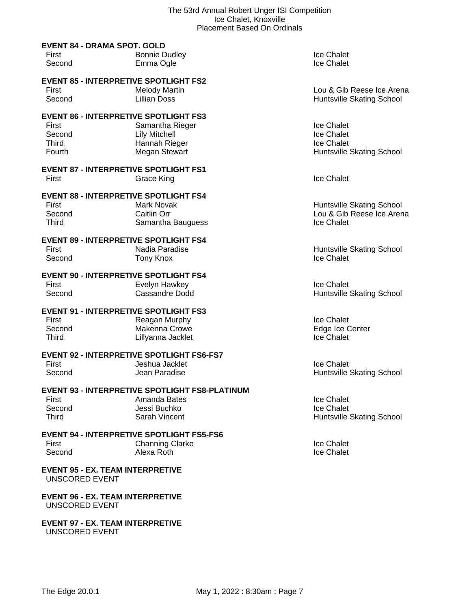|                                                                                           | PIACEMENT DASEG ON ORIGIN                                                                              |                                                                      |
|-------------------------------------------------------------------------------------------|--------------------------------------------------------------------------------------------------------|----------------------------------------------------------------------|
| <b>EVENT 84 - DRAMA SPOT. GOLD</b><br>First<br>Second                                     | <b>Bonnie Dudley</b><br>Emma Ogle                                                                      | Ice Chalet<br>Ice Chalet                                             |
| <b>EVENT 85 - INTERPRETIVE SPOTLIGHT FS2</b><br>First<br>Second                           | <b>Melody Martin</b><br><b>Lillian Doss</b>                                                            | Lou & Gib Reese Ice Arena<br>Huntsville Skating School               |
| <b>EVENT 86 - INTERPRETIVE SPOTLIGHT FS3</b><br>First<br>Second<br><b>Third</b><br>Fourth | Samantha Rieger<br><b>Lily Mitchell</b><br>Hannah Rieger<br>Megan Stewart                              | Ice Chalet<br>Ice Chalet<br>Ice Chalet<br>Huntsville Skating School  |
| <b>EVENT 87 - INTERPRETIVE SPOTLIGHT FS1</b><br>First                                     | Grace King                                                                                             | <b>Ice Chalet</b>                                                    |
| <b>EVENT 88 - INTERPRETIVE SPOTLIGHT FS4</b><br>First<br>Second<br><b>Third</b>           | <b>Mark Novak</b><br>Caitlin Orr<br>Samantha Bauguess                                                  | Huntsville Skating School<br>Lou & Gib Reese Ice Arena<br>Ice Chalet |
| <b>EVENT 89 - INTERPRETIVE SPOTLIGHT FS4</b><br>First<br>Second                           | Nadia Paradise<br><b>Tony Knox</b>                                                                     | Huntsville Skating School<br>Ice Chalet                              |
| <b>EVENT 90 - INTERPRETIVE SPOTLIGHT FS4</b><br>First<br>Second                           | Evelyn Hawkey<br><b>Cassandre Dodd</b>                                                                 | Ice Chalet<br>Huntsville Skating School                              |
| <b>EVENT 91 - INTERPRETIVE SPOTLIGHT FS3</b><br>First<br>Second<br>Third                  | Reagan Murphy<br><b>Makenna Crowe</b><br>Lillyanna Jacklet                                             | Ice Chalet<br>Edge Ice Center<br>Ice Chalet                          |
| First<br>Second                                                                           | <b>EVENT 92 - INTERPRETIVE SPOTLIGHT FS6-FS7</b><br>Jeshua Jacklet<br>Jean Paradise                    | Ice Chalet<br>Huntsville Skating School                              |
| First<br>Second<br><b>Third</b>                                                           | <b>EVENT 93 - INTERPRETIVE SPOTLIGHT FS8-PLATINUM</b><br>Amanda Bates<br>Jessi Buchko<br>Sarah Vincent | Ice Chalet<br>Ice Chalet<br>Huntsville Skating School                |
| First<br>Second                                                                           | <b>EVENT 94 - INTERPRETIVE SPOTLIGHT FS5-FS6</b><br><b>Channing Clarke</b><br>Alexa Roth               | Ice Chalet<br>Ice Chalet                                             |
| <b>EVENT 95 - EX. TEAM INTERPRETIVE</b><br><b>UNSCORED EVENT</b>                          |                                                                                                        |                                                                      |

**EVENT 96 - EX. TEAM INTERPRETIVE** UNSCORED EVENT

**EVENT 97 - EX. TEAM INTERPRETIVE** UNSCORED EVENT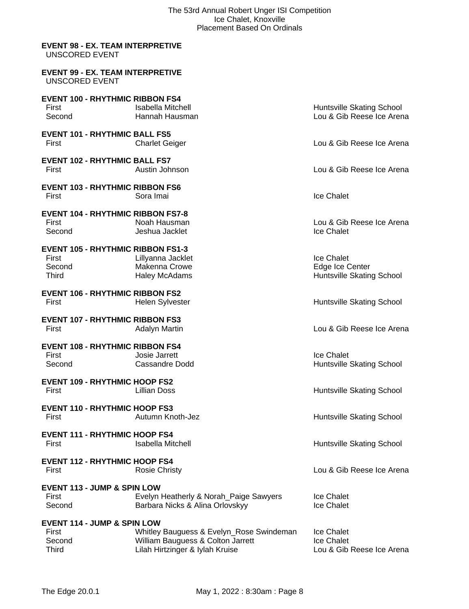#### **EVENT 98 - EX. TEAM INTERPRETIVE** UNSCORED EVENT

| EVENT 99 - EX. TEAM INTERPRETIVE |  |  |
|----------------------------------|--|--|
| UNSCORED EVENT                   |  |  |

| <b>EVENT 100 - RHYTHMIC RIBBON FS4</b>   |                                                                           |                           |
|------------------------------------------|---------------------------------------------------------------------------|---------------------------|
| First                                    | <b>Isabella Mitchell</b>                                                  | Huntsville Skating School |
| Second                                   | Hannah Hausman                                                            | Lou & Gib Reese Ice Arena |
| <b>EVENT 101 - RHYTHMIC BALL FS5</b>     |                                                                           |                           |
| First                                    | <b>Charlet Geiger</b>                                                     | Lou & Gib Reese Ice Arena |
| <b>EVENT 102 - RHYTHMIC BALL FS7</b>     |                                                                           |                           |
| First                                    | Austin Johnson                                                            | Lou & Gib Reese Ice Arena |
| <b>EVENT 103 - RHYTHMIC RIBBON FS6</b>   |                                                                           |                           |
| First                                    | Sora Imai                                                                 | <b>Ice Chalet</b>         |
| <b>EVENT 104 - RHYTHMIC RIBBON FS7-8</b> |                                                                           |                           |
| First                                    | Noah Hausman                                                              | Lou & Gib Reese Ice Arena |
| Second                                   | Jeshua Jacklet                                                            | Ice Chalet                |
| <b>EVENT 105 - RHYTHMIC RIBBON FS1-3</b> |                                                                           |                           |
| First                                    | Lillyanna Jacklet                                                         | Ice Chalet                |
| Second                                   | Makenna Crowe                                                             | Edge Ice Center           |
| <b>Third</b>                             | <b>Haley McAdams</b>                                                      | Huntsville Skating School |
| <b>EVENT 106 - RHYTHMIC RIBBON FS2</b>   |                                                                           |                           |
| First                                    | <b>Helen Sylvester</b>                                                    | Huntsville Skating School |
| <b>EVENT 107 - RHYTHMIC RIBBON FS3</b>   |                                                                           |                           |
| First                                    | <b>Adalyn Martin</b>                                                      | Lou & Gib Reese Ice Arena |
|                                          |                                                                           |                           |
| <b>EVENT 108 - RHYTHMIC RIBBON FS4</b>   |                                                                           |                           |
| First                                    | Josie Jarrett                                                             | Ice Chalet                |
| Second                                   | Cassandre Dodd                                                            | Huntsville Skating School |
| <b>EVENT 109 - RHYTHMIC HOOP FS2</b>     |                                                                           |                           |
| First                                    | <b>Lillian Doss</b>                                                       | Huntsville Skating School |
| <b>EVENT 110 - RHYTHMIC HOOP FS3</b>     |                                                                           |                           |
| First                                    | Autumn Knoth-Jez                                                          | Huntsville Skating School |
| <b>EVENT 111 - RHYTHMIC HOOP FS4</b>     |                                                                           |                           |
| First                                    | <b>Isabella Mitchell</b>                                                  | Huntsville Skating School |
| <b>EVENT 112 - RHYTHMIC HOOP FS4</b>     |                                                                           |                           |
| First                                    | <b>Rosie Christy</b>                                                      | Lou & Gib Reese Ice Arena |
| <b>EVENT 113 - JUMP &amp; SPIN LOW</b>   |                                                                           |                           |
| First                                    |                                                                           | Ice Chalet                |
| Second                                   | Evelyn Heatherly & Norah_Paige Sawyers<br>Barbara Nicks & Alina Orlovskyy | Ice Chalet                |
|                                          |                                                                           |                           |
| <b>EVENT 114 - JUMP &amp; SPIN LOW</b>   |                                                                           |                           |
| First                                    | Whitley Bauguess & Evelyn_Rose Swindeman                                  | Ice Chalet                |
| Second                                   | William Bauguess & Colton Jarrett                                         | Ice Chalet                |
| <b>Third</b>                             | Lilah Hirtzinger & Iylah Kruise                                           | Lou & Gib Reese Ice Arena |
|                                          |                                                                           |                           |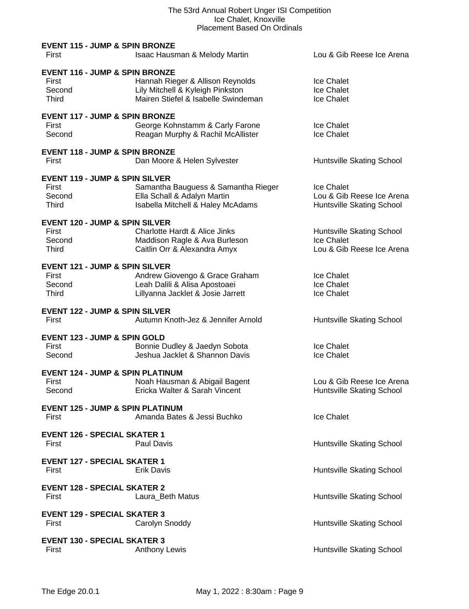| <b>EVENT 115 - JUMP &amp; SPIN BRONZE</b><br>First                           | Isaac Hausman & Melody Martin                                                                               | Lou & Gib Reese Ice Arena                                            |
|------------------------------------------------------------------------------|-------------------------------------------------------------------------------------------------------------|----------------------------------------------------------------------|
| <b>EVENT 116 - JUMP &amp; SPIN BRONZE</b><br>First<br>Second<br><b>Third</b> | Hannah Rieger & Allison Reynolds<br>Lily Mitchell & Kyleigh Pinkston<br>Mairen Stiefel & Isabelle Swindeman | Ice Chalet<br>Ice Chalet<br>Ice Chalet                               |
| <b>EVENT 117 - JUMP &amp; SPIN BRONZE</b><br>First<br>Second                 | George Kohnstamm & Carly Farone<br>Reagan Murphy & Rachil McAllister                                        | Ice Chalet<br>Ice Chalet                                             |
| <b>EVENT 118 - JUMP &amp; SPIN BRONZE</b><br>First                           | Dan Moore & Helen Sylvester                                                                                 | Huntsville Skating School                                            |
| <b>EVENT 119 - JUMP &amp; SPIN SILVER</b><br>First<br>Second<br>Third        | Samantha Bauguess & Samantha Rieger<br>Ella Schall & Adalyn Martin<br>Isabella Mitchell & Haley McAdams     | Ice Chalet<br>Lou & Gib Reese Ice Arena<br>Huntsville Skating School |
| <b>EVENT 120 - JUMP &amp; SPIN SILVER</b><br>First<br>Second<br><b>Third</b> | Charlotte Hardt & Alice Jinks<br>Maddison Ragle & Ava Burleson<br>Caitlin Orr & Alexandra Amyx              | Huntsville Skating School<br>Ice Chalet<br>Lou & Gib Reese Ice Arena |
| <b>EVENT 121 - JUMP &amp; SPIN SILVER</b><br>First<br>Second<br>Third        | Andrew Giovengo & Grace Graham<br>Leah Dalili & Alisa Apostoaei<br>Lillyanna Jacklet & Josie Jarrett        | Ice Chalet<br>Ice Chalet<br>Ice Chalet                               |
| <b>EVENT 122 - JUMP &amp; SPIN SILVER</b><br>First                           | Autumn Knoth-Jez & Jennifer Arnold                                                                          | Huntsville Skating School                                            |
| <b>EVENT 123 - JUMP &amp; SPIN GOLD</b><br><b>First</b><br>Second            | Bonnie Dudley & Jaedyn Sobota<br>Jeshua Jacklet & Shannon Davis                                             | Ice Chalet<br>Ice Chalet                                             |
| <b>EVENT 124 - JUMP &amp; SPIN PLATINUM</b><br>First<br>Second               | Noah Hausman & Abigail Bagent<br>Ericka Walter & Sarah Vincent                                              | Lou & Gib Reese Ice Arena<br>Huntsville Skating School               |
| <b>EVENT 125 - JUMP &amp; SPIN PLATINUM</b><br>First                         | Amanda Bates & Jessi Buchko                                                                                 | <b>Ice Chalet</b>                                                    |
| <b>EVENT 126 - SPECIAL SKATER 1</b><br>First                                 | Paul Davis                                                                                                  | Huntsville Skating School                                            |
| <b>EVENT 127 - SPECIAL SKATER 1</b><br>First                                 | <b>Erik Davis</b>                                                                                           | Huntsville Skating School                                            |
| <b>EVENT 128 - SPECIAL SKATER 2</b><br>First                                 | Laura_Beth Matus                                                                                            | Huntsville Skating School                                            |
| <b>EVENT 129 - SPECIAL SKATER 3</b><br>First                                 | Carolyn Snoddy                                                                                              | Huntsville Skating School                                            |
| <b>EVENT 130 - SPECIAL SKATER 3</b><br>First                                 | <b>Anthony Lewis</b>                                                                                        | Huntsville Skating School                                            |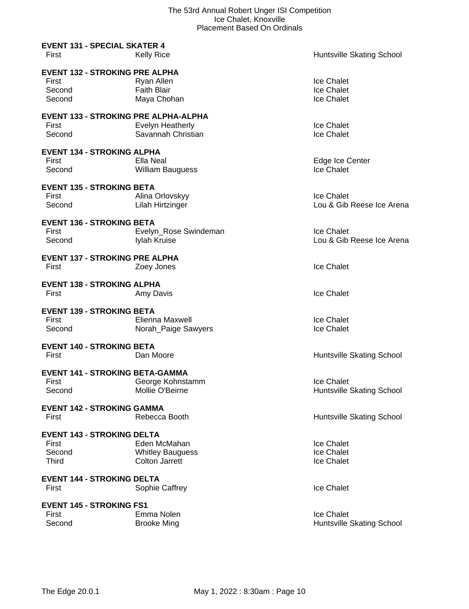|                                                                      | i lacenient Daseu On Oruniais                                    |                                               |
|----------------------------------------------------------------------|------------------------------------------------------------------|-----------------------------------------------|
| <b>EVENT 131 - SPECIAL SKATER 4</b><br>First                         | <b>Kelly Rice</b>                                                | Huntsville Skating School                     |
| <b>EVENT 132 - STROKING PRE ALPHA</b><br>First<br>Second<br>Second   | Ryan Allen<br><b>Faith Blair</b><br>Maya Chohan                  | Ice Chalet<br>Ice Chalet<br>Ice Chalet        |
| <b>EVENT 133 - STROKING PRE ALPHA-ALPHA</b><br>First<br>Second       | Evelyn Heatherly<br>Savannah Christian                           | Ice Chalet<br>Ice Chalet                      |
| <b>EVENT 134 - STROKING ALPHA</b><br>First<br>Second                 | Ella Neal<br>William Bauguess                                    | Edge Ice Center<br><b>Ice Chalet</b>          |
| <b>EVENT 135 - STROKING BETA</b><br>First<br>Second                  | Alina Orlovskyy<br>Lilah Hirtzinger                              | Ice Chalet<br>Lou & Gib Reese Ice Arena       |
| <b>EVENT 136 - STROKING BETA</b><br>First<br>Second                  | Evelyn_Rose Swindeman<br>Iylah Kruise                            | Ice Chalet<br>Lou & Gib Reese Ice Arena       |
| <b>EVENT 137 - STROKING PRE ALPHA</b><br>First                       | Zoey Jones                                                       | Ice Chalet                                    |
| <b>EVENT 138 - STROKING ALPHA</b><br>First                           | Amy Davis                                                        | Ice Chalet                                    |
| <b>EVENT 139 - STROKING BETA</b><br>First<br>Second                  | Elienna Maxwell<br>Norah Paige Sawyers                           | Ice Chalet<br>Ice Chalet                      |
| <b>EVENT 140 - STROKING BETA</b><br>First                            | Dan Moore                                                        | Huntsville Skating School                     |
| <b>EVENT 141 - STROKING BETA-GAMMA</b><br>First<br>Second            | George Kohnstamm<br>Mollie O'Beirne                              | Ice Chalet<br>Huntsville Skating School       |
| <b>EVENT 142 - STROKING GAMMA</b><br>First                           | Rebecca Booth                                                    | Huntsville Skating School                     |
| <b>EVENT 143 - STROKING DELTA</b><br>First<br>Second<br><b>Third</b> | Eden McMahan<br><b>Whitley Bauguess</b><br><b>Colton Jarrett</b> | <b>Ice Chalet</b><br>Ice Chalet<br>Ice Chalet |
| <b>EVENT 144 - STROKING DELTA</b><br>First                           | Sophie Caffrey                                                   | <b>Ice Chalet</b>                             |
| <b>EVENT 145 - STROKING FS1</b><br>First<br>Second                   | Emma Nolen<br><b>Brooke Ming</b>                                 | Ice Chalet<br>Huntsville Skating School       |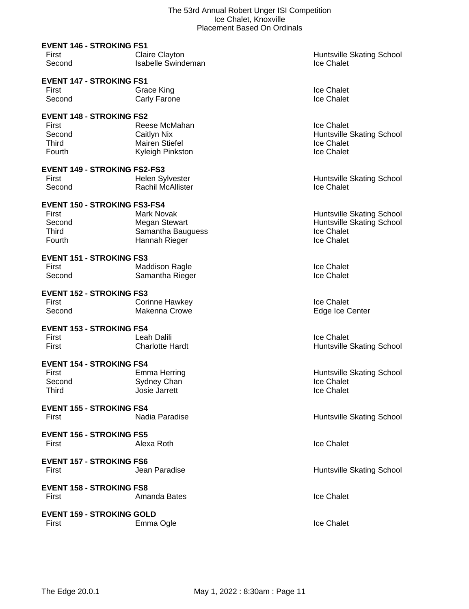| <b>EVENT 146 - STROKING FS1</b>          |                              |                                                       |
|------------------------------------------|------------------------------|-------------------------------------------------------|
| First                                    | <b>Claire Clayton</b>        | <b>Huntsville Skating School</b>                      |
| Second                                   | <b>Isabelle Swindeman</b>    | Ice Chalet                                            |
| <b>EVENT 147 - STROKING FS1</b>          |                              |                                                       |
| First                                    | Grace King                   | Ice Chalet                                            |
| Second                                   | Carly Farone                 | Ice Chalet                                            |
| <b>EVENT 148 - STROKING FS2</b>          |                              |                                                       |
| First                                    | Reese McMahan                | <b>Ice Chalet</b>                                     |
| Second                                   | Caitlyn Nix                  | <b>Huntsville Skating School</b>                      |
| <b>Third</b>                             | <b>Mairen Stiefel</b>        | <b>Ice Chalet</b>                                     |
| Fourth                                   | Kyleigh Pinkston             | Ice Chalet                                            |
| <b>EVENT 149 - STROKING FS2-FS3</b>      |                              |                                                       |
| First                                    | Helen Sylvester              | <b>Huntsville Skating School</b>                      |
| Second                                   | Rachil McAllister            | Ice Chalet                                            |
|                                          |                              |                                                       |
| <b>EVENT 150 - STROKING FS3-FS4</b>      |                              |                                                       |
| First                                    | Mark Novak                   | <b>Huntsville Skating School</b>                      |
| Second                                   | <b>Megan Stewart</b>         | <b>Huntsville Skating School</b><br><b>Ice Chalet</b> |
| Third                                    | Samantha Bauguess            |                                                       |
| Fourth                                   | Hannah Rieger                | Ice Chalet                                            |
| <b>EVENT 151 - STROKING FS3</b>          |                              |                                                       |
| First                                    | <b>Maddison Ragle</b>        | Ice Chalet                                            |
| Second                                   | Samantha Rieger              | Ice Chalet                                            |
| <b>EVENT 152 - STROKING FS3</b>          |                              |                                                       |
| First                                    | Corinne Hawkey               | Ice Chalet                                            |
| Second                                   | Makenna Crowe                | Edge Ice Center                                       |
| <b>EVENT 153 - STROKING FS4</b>          |                              |                                                       |
| First                                    | Leah Dalili                  | Ice Chalet                                            |
| First                                    | <b>Charlotte Hardt</b>       | <b>Huntsville Skating School</b>                      |
|                                          |                              |                                                       |
| <b>EVENT 154 - STROKING FS4</b><br>First |                              | <b>Huntsville Skating School</b>                      |
| Second                                   | <b>Emma Herring</b>          | Ice Chalet                                            |
| Third                                    | Sydney Chan<br>Josie Jarrett | Ice Chalet                                            |
|                                          |                              |                                                       |
| <b>EVENT 155 - STROKING FS4</b>          |                              |                                                       |
| First                                    | Nadia Paradise               | Huntsville Skating School                             |
| <b>EVENT 156 - STROKING FS5</b>          |                              |                                                       |
| First                                    | Alexa Roth                   | <b>Ice Chalet</b>                                     |
|                                          |                              |                                                       |
| <b>EVENT 157 - STROKING FS6</b>          |                              |                                                       |
| First                                    | Jean Paradise                | <b>Huntsville Skating School</b>                      |
| <b>EVENT 158 - STROKING FS8</b>          |                              |                                                       |
| First                                    | Amanda Bates                 | Ice Chalet                                            |
|                                          |                              |                                                       |
| <b>EVENT 159 - STROKING GOLD</b>         |                              |                                                       |
| First                                    | Emma Ogle                    | Ice Chalet                                            |
|                                          |                              |                                                       |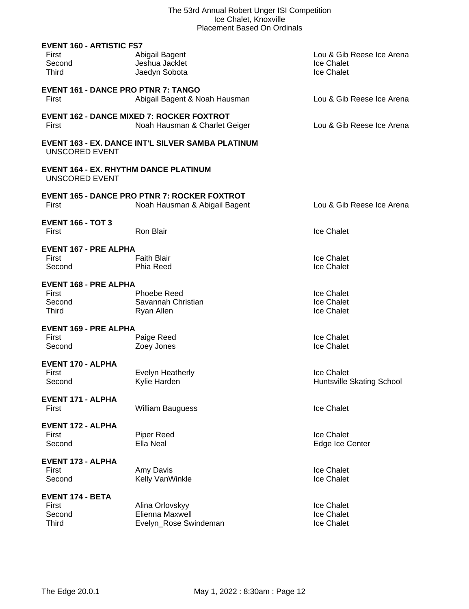| <b>EVENT 160 - ARTISTIC FS7</b><br>First<br>Second<br><b>Third</b>    | Abigail Bagent<br>Jeshua Jacklet<br>Jaedyn Sobota                                    | Lou & Gib Reese Ice Arena<br>Ice Chalet<br>Ice Chalet |
|-----------------------------------------------------------------------|--------------------------------------------------------------------------------------|-------------------------------------------------------|
| <b>EVENT 161 - DANCE PRO PTNR 7: TANGO</b><br>First                   | Abigail Bagent & Noah Hausman                                                        | Lou & Gib Reese Ice Arena                             |
| First                                                                 | <b>EVENT 162 - DANCE MIXED 7: ROCKER FOXTROT</b><br>Noah Hausman & Charlet Geiger    | Lou & Gib Reese Ice Arena                             |
| <b>UNSCORED EVENT</b>                                                 | <b>EVENT 163 - EX. DANCE INT'L SILVER SAMBA PLATINUM</b>                             |                                                       |
| <b>EVENT 164 - EX. RHYTHM DANCE PLATINUM</b><br><b>UNSCORED EVENT</b> |                                                                                      |                                                       |
| First                                                                 | <b>EVENT 165 - DANCE PRO PTNR 7: ROCKER FOXTROT</b><br>Noah Hausman & Abigail Bagent | Lou & Gib Reese Ice Arena                             |
| <b>EVENT 166 - TOT 3</b><br>First                                     | Ron Blair                                                                            | Ice Chalet                                            |
| <b>EVENT 167 - PRE ALPHA</b><br>First<br>Second                       | <b>Faith Blair</b><br>Phia Reed                                                      | Ice Chalet<br>Ice Chalet                              |
| <b>EVENT 168 - PRE ALPHA</b><br>First<br>Second<br>Third              | <b>Phoebe Reed</b><br>Savannah Christian<br>Ryan Allen                               | Ice Chalet<br>Ice Chalet<br>Ice Chalet                |
| <b>EVENT 169 - PRE ALPHA</b><br>First<br>Second                       | Paige Reed<br>Zoey Jones                                                             | Ice Chalet<br>Ice Chalet                              |
| <b>EVENT 170 - ALPHA</b><br>First<br>Second                           | <b>Evelyn Heatherly</b><br>Kylie Harden                                              | Ice Chalet<br>Huntsville Skating School               |
| <b>EVENT 171 - ALPHA</b><br>First                                     | <b>William Bauguess</b>                                                              | Ice Chalet                                            |
| <b>EVENT 172 - ALPHA</b><br>First<br>Second                           | Piper Reed<br>Ella Neal                                                              | Ice Chalet<br>Edge Ice Center                         |
| <b>EVENT 173 - ALPHA</b><br>First<br>Second                           | Amy Davis<br>Kelly VanWinkle                                                         | Ice Chalet<br>Ice Chalet                              |
| <b>EVENT 174 - BETA</b><br>First<br>Second<br><b>Third</b>            | Alina Orlovskyy<br>Elienna Maxwell<br>Evelyn_Rose Swindeman                          | Ice Chalet<br>Ice Chalet<br>Ice Chalet                |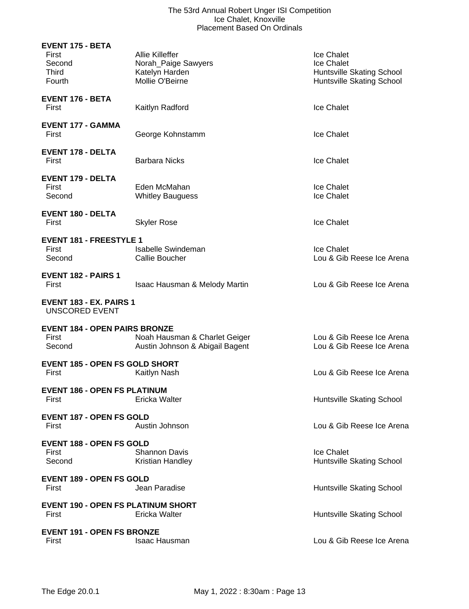| <b>EVENT 175 - BETA</b><br>First<br>Second<br><b>Third</b><br>Fourth | <b>Allie Killeffer</b><br>Norah_Paige Sawyers<br>Katelyn Harden<br>Mollie O'Beirne | Ice Chalet<br>Ice Chalet<br>Huntsville Skating School<br>Huntsville Skating School |
|----------------------------------------------------------------------|------------------------------------------------------------------------------------|------------------------------------------------------------------------------------|
| EVENT 176 - BETA<br>First                                            | Kaitlyn Radford                                                                    | <b>Ice Chalet</b>                                                                  |
| <b>EVENT 177 - GAMMA</b><br>First                                    | George Kohnstamm                                                                   | Ice Chalet                                                                         |
| <b>EVENT 178 - DELTA</b><br>First                                    | <b>Barbara Nicks</b>                                                               | <b>Ice Chalet</b>                                                                  |
| <b>EVENT 179 - DELTA</b><br>First<br>Second                          | Eden McMahan<br><b>Whitley Bauguess</b>                                            | Ice Chalet<br>Ice Chalet                                                           |
| <b>EVENT 180 - DELTA</b><br>First                                    | <b>Skyler Rose</b>                                                                 | Ice Chalet                                                                         |
| <b>EVENT 181 - FREESTYLE 1</b><br>First<br>Second                    | Isabelle Swindeman<br>Callie Boucher                                               | Ice Chalet<br>Lou & Gib Reese Ice Arena                                            |
| <b>EVENT 182 - PAIRS 1</b><br>First                                  | <b>Isaac Hausman &amp; Melody Martin</b>                                           | Lou & Gib Reese Ice Arena                                                          |
| EVENT 183 - EX. PAIRS 1<br><b>UNSCORED EVENT</b>                     |                                                                                    |                                                                                    |
| <b>EVENT 184 - OPEN PAIRS BRONZE</b><br>First<br>Second              | Noah Hausman & Charlet Geiger<br>Austin Johnson & Abigail Bagent                   | Lou & Gib Reese Ice Arena<br>Lou & Gib Reese Ice Arena                             |
| <b>EVENT 185 - OPEN FS GOLD SHORT</b><br>First                       | Kaitlyn Nash                                                                       | Lou & Gib Reese Ice Arena                                                          |
| <b>EVENT 186 - OPEN FS PLATINUM</b><br>First                         | Ericka Walter                                                                      | Huntsville Skating School                                                          |
| <b>EVENT 187 - OPEN FS GOLD</b><br>First                             | Austin Johnson                                                                     | Lou & Gib Reese Ice Arena                                                          |
| <b>EVENT 188 - OPEN FS GOLD</b><br>First<br>Second                   | <b>Shannon Davis</b><br>Kristian Handley                                           | <b>Ice Chalet</b><br>Huntsville Skating School                                     |
| <b>EVENT 189 - OPEN FS GOLD</b><br>First                             | Jean Paradise                                                                      | Huntsville Skating School                                                          |
| <b>EVENT 190 - OPEN FS PLATINUM SHORT</b><br>First                   | Ericka Walter                                                                      | Huntsville Skating School                                                          |
| <b>EVENT 191 - OPEN FS BRONZE</b><br>First                           | <b>Isaac Hausman</b>                                                               | Lou & Gib Reese Ice Arena                                                          |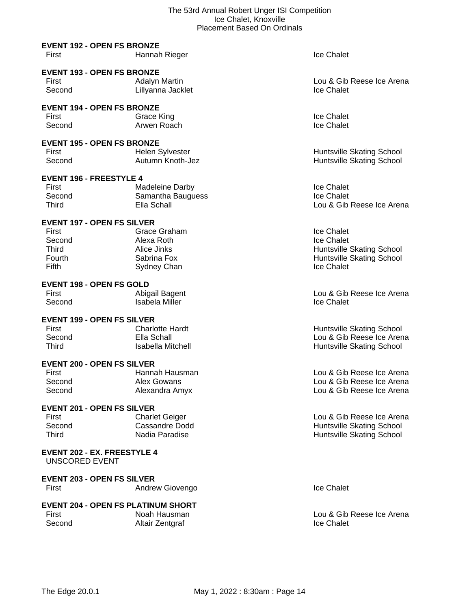# **EVENT 192 - OPEN FS BRONZE**

| First<br>Hannah Rieger | <b>Ice Chalet</b> |
|------------------------|-------------------|
|------------------------|-------------------|

# **EVENT 193 - OPEN FS BRONZE**

| First  | Adalyn Martin     | Lou & Gib         |
|--------|-------------------|-------------------|
| Second | Lillyanna Jacklet | <b>Ice Chalet</b> |

#### **EVENT 194 - OPEN FS BRONZE**

First Crace King Crace Communications and the Chalet Second Arwen Roach Crace Chalet Crace Chalet Creater and Arwen Roach Creater Creater Army and the Chalet Creater Army and the Chalet Creater Army and the Chalet Creater Second **Arwen Roach** 

# **EVENT 195 - OPEN FS BRONZE**

First **Helen Sylvester Huntsville Skating School Huntsville Skating School** Second Autumn Knoth-Jez Huntsville Skating School

# **EVENT 196 - FREESTYLE 4**

| Madeleine Darby   | <b>Ice Chalet</b> |
|-------------------|-------------------|
| Samantha Bauguess | <b>Ice Chalet</b> |
| Ella Schall       | Lou & Gib         |
|                   |                   |

# **EVENT 197 - OPEN FS SILVER**

| First         | Grace Graham | Ice Chalet                       |
|---------------|--------------|----------------------------------|
| Second        | Alexa Roth   | Ice Chalet                       |
| Third         | Alice Jinks  | <b>Huntsville Skating School</b> |
| <b>Fourth</b> | Sabrina Fox  | <b>Huntsville Skating School</b> |
| Fifth         | Sydney Chan  | Ice Chalet                       |
|               |              |                                  |

#### **EVENT 198 - OPEN FS GOLD**

| First  | Abigail Bagent | Lou & Gib         |
|--------|----------------|-------------------|
| Second | Isabela Miller | <b>Ice Chalet</b> |

#### **EVENT 199 - OPEN FS SILVER**

| First  | <b>Charlotte Hardt</b> |
|--------|------------------------|
| Second | Ella Schall            |
| Third  | Isabella Mitche        |

#### **EVENT 200 - OPEN FS SILVER**

| Hannah Hausm  |
|---------------|
| Alex Gowans   |
| Alexandra Amy |
|               |

# **EVENT 201 - OPEN FS SILVER**

| First  | <b>Charlet Geiger</b> |
|--------|-----------------------|
| Second | Cassandre Dodd        |
| Third  | Nadia Paradise        |

#### **EVENT 202 - EX. FREESTYLE 4** UNSCORED EVENT

#### **EVENT 203 - OPEN FS SILVER** First **Andrew Giovengo Ice Chalet Ice Chalet**

| <b>EVENT 204 - OPEN FS PLATINUM SHORT</b> |                 |                   |
|-------------------------------------------|-----------------|-------------------|
| First                                     | Noah Hausman    | Lou & Gib         |
| Second                                    | Altair Zentgraf | <b>Ice Chalet</b> |

Lou & Gib Reese Ice Arena<br>Ice Chalet

Lou & Gib Reese Ice Arena

First Abigail Bagent Lou & Gib Reese Ice Arena

t **First Charlotte Huntsville Skating School** Lou & Gib Reese Ice Arena **Third Islamic Mitchell Huntsville Skating School** 

nan **Hausman Hausman Lou & Gib Reese Ice Arena** Lou & Gib Reese Ice Arena Second Amy Lou & Gib Reese Ice Arena

> Lou & Gib Reese Ice Arena Huntsville Skating School Huntsville Skating School

Lou & Gib Reese Ice Arena<br>Ice Chalet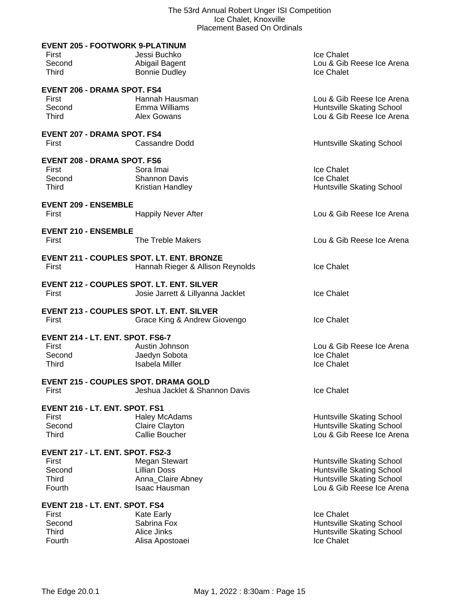|              | <b>EVENT 205 - FOOTWORK 9-PLATINUM</b>           |                           |
|--------------|--------------------------------------------------|---------------------------|
| First        | Jessi Buchko                                     | Ice Chalet                |
| Second       | Abigail Bagent                                   | Lou & Gib Reese Ice Arena |
| <b>Third</b> | <b>Bonnie Dudley</b>                             | Ice Chalet                |
|              | <b>EVENT 206 - DRAMA SPOT. FS4</b>               |                           |
| First        | Hannah Hausman                                   | Lou & Gib Reese Ice Arena |
| Second       | Emma Williams                                    | Huntsville Skating School |
| <b>Third</b> | Alex Gowans                                      | Lou & Gib Reese Ice Arena |
|              | <b>EVENT 207 - DRAMA SPOT. FS4</b>               |                           |
| First        | <b>Cassandre Dodd</b>                            | Huntsville Skating School |
|              |                                                  |                           |
|              | <b>EVENT 208 - DRAMA SPOT. FS6</b>               |                           |
| First        | Sora Imai                                        | Ice Chalet                |
| Second       | <b>Shannon Davis</b>                             | Ice Chalet                |
| <b>Third</b> | Kristian Handley                                 | Huntsville Skating School |
|              | <b>EVENT 209 - ENSEMBLE</b>                      |                           |
| First        | <b>Happily Never After</b>                       | Lou & Gib Reese Ice Arena |
|              | <b>EVENT 210 - ENSEMBLE</b>                      |                           |
| First        | The Treble Makers                                | Lou & Gib Reese Ice Arena |
|              |                                                  |                           |
|              | <b>EVENT 211 - COUPLES SPOT. LT. ENT. BRONZE</b> |                           |
| First        | Hannah Rieger & Allison Reynolds                 | Ice Chalet                |
|              | <b>EVENT 212 - COUPLES SPOT. LT. ENT. SILVER</b> |                           |
| First        | Josie Jarrett & Lillyanna Jacklet                | Ice Chalet                |
|              | <b>EVENT 213 - COUPLES SPOT. LT. ENT. SILVER</b> |                           |
| First        | Grace King & Andrew Giovengo                     | Ice Chalet                |
|              |                                                  |                           |
|              | EVENT 214 - LT. ENT. SPOT. FS6-7                 |                           |
| First        | Austin Johnson                                   | Lou & Gib Reese Ice Arena |
| Second       | Jaedyn Sobota                                    | Ice Chalet                |
| Third        | <b>Isabela Miller</b>                            | Ice Chalet                |
|              | <b>EVENT 215 - COUPLES SPOT. DRAMA GOLD</b>      |                           |
| First        | Jeshua Jacklet & Shannon Davis                   | Ice Chalet                |
|              | EVENT 216 - LT. ENT. SPOT. FS1                   |                           |
| First        | <b>Haley McAdams</b>                             | Huntsville Skating School |
| Second       | Claire Clayton                                   | Huntsville Skating School |
| <b>Third</b> | <b>Callie Boucher</b>                            | Lou & Gib Reese Ice Arena |
|              | EVENT 217 - LT. ENT. SPOT. FS2-3                 |                           |
| First        | <b>Megan Stewart</b>                             | Huntsville Skating School |
| Second       | <b>Lillian Doss</b>                              | Huntsville Skating School |
| <b>Third</b> | Anna_Claire Abney                                | Huntsville Skating School |
| Fourth       | Isaac Hausman                                    | Lou & Gib Reese Ice Arena |
|              |                                                  |                           |
| First        | EVENT 218 - LT. ENT. SPOT. FS4                   | Ice Chalet                |
| Second       | Kate Early<br>Sabrina Fox                        | Huntsville Skating School |
| <b>Third</b> | Alice Jinks                                      | Huntsville Skating School |
| Fourth       | Alisa Apostoaei                                  | Ice Chalet                |
|              |                                                  |                           |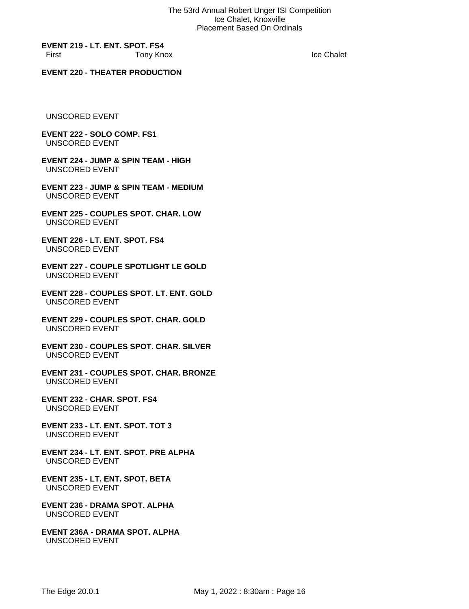**EVENT 219 - LT. ENT. SPOT. FS4** First Tony Knox

Ice Chalet

# **EVENT 220 - THEATER PRODUCTION**

UNSCORED EVENT

#### **EVENT 222 - SOLO COMP. FS1** UNSCORED EVENT

**EVENT 224 - JUMP & SPIN TEAM - HIGH** UNSCORED EVENT

**EVENT 223 - JUMP & SPIN TEAM - MEDIUM** UNSCORED EVENT

**EVENT 225 - COUPLES SPOT. CHAR. LOW** UNSCORED EVENT

**EVENT 226 - LT. ENT. SPOT. FS4** UNSCORED EVENT

**EVENT 227 - COUPLE SPOTLIGHT LE GOLD** UNSCORED EVENT

**EVENT 228 - COUPLES SPOT. LT. ENT. GOLD** UNSCORED EVENT

**EVENT 229 - COUPLES SPOT. CHAR. GOLD** UNSCORED EVENT

**EVENT 230 - COUPLES SPOT. CHAR. SILVER** UNSCORED EVENT

**EVENT 231 - COUPLES SPOT. CHAR. BRONZE** UNSCORED EVENT

**EVENT 232 - CHAR. SPOT. FS4** UNSCORED EVENT

**EVENT 233 - LT. ENT. SPOT. TOT 3** UNSCORED EVENT

**EVENT 234 - LT. ENT. SPOT. PRE ALPHA** UNSCORED EVENT

**EVENT 235 - LT. ENT. SPOT. BETA** UNSCORED EVENT

**EVENT 236 - DRAMA SPOT. ALPHA** UNSCORED EVENT

**EVENT 236A - DRAMA SPOT. ALPHA** UNSCORED EVENT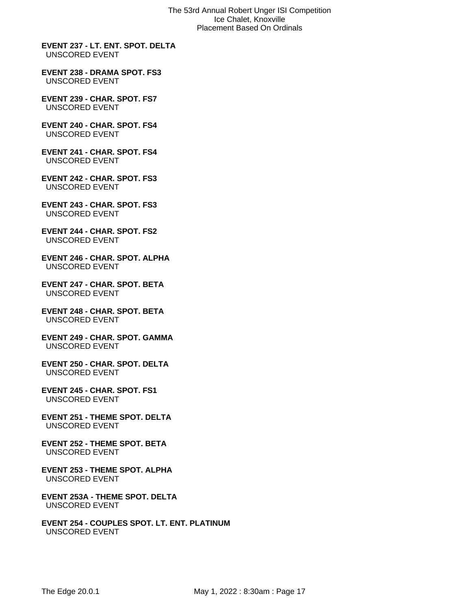**EVENT 237 - LT. ENT. SPOT. DELTA** UNSCORED EVENT

**EVENT 238 - DRAMA SPOT. FS3** UNSCORED EVENT

**EVENT 239 - CHAR. SPOT. FS7** UNSCORED EVENT

**EVENT 240 - CHAR. SPOT. FS4** UNSCORED EVENT

**EVENT 241 - CHAR. SPOT. FS4** UNSCORED EVENT

**EVENT 242 - CHAR. SPOT. FS3** UNSCORED EVENT

**EVENT 243 - CHAR. SPOT. FS3** UNSCORED EVENT

**EVENT 244 - CHAR. SPOT. FS2** UNSCORED EVENT

**EVENT 246 - CHAR. SPOT. ALPHA** UNSCORED EVENT

**EVENT 247 - CHAR. SPOT. BETA** UNSCORED EVENT

**EVENT 248 - CHAR. SPOT. BETA** UNSCORED EVENT

**EVENT 249 - CHAR. SPOT. GAMMA** UNSCORED EVENT

**EVENT 250 - CHAR. SPOT. DELTA** UNSCORED EVENT

**EVENT 245 - CHAR. SPOT. FS1** UNSCORED EVENT

**EVENT 251 - THEME SPOT. DELTA** UNSCORED EVENT

**EVENT 252 - THEME SPOT. BETA** UNSCORED EVENT

**EVENT 253 - THEME SPOT. ALPHA** UNSCORED EVENT

**EVENT 253A - THEME SPOT. DELTA** UNSCORED EVENT

**EVENT 254 - COUPLES SPOT. LT. ENT. PLATINUM** UNSCORED EVENT